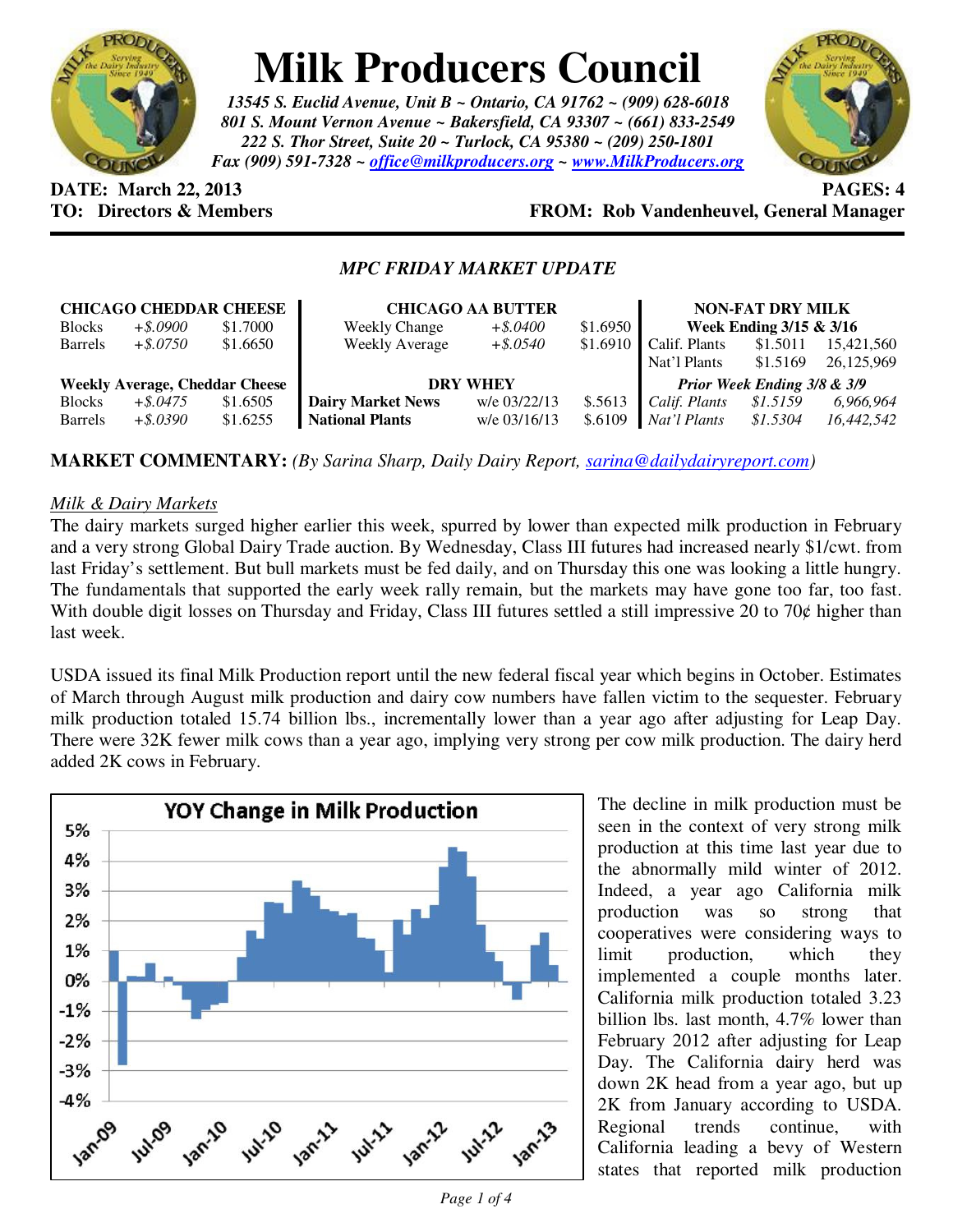

# **Milk Producers Council**

*13545 S. Euclid Avenue, Unit B ~ Ontario, CA 91762 ~ (909) 628-6018 801 S. Mount Vernon Avenue ~ Bakersfield, CA 93307 ~ (661) 833-2549 222 S. Thor Street, Suite 20 ~ Turlock, CA 95380 ~ (209) 250-1801 Fax (909) 591-7328 ~ office@milkproducers.org ~ www.MilkProducers.org*



**DATE: March 22, 2013 PAGES: 4** 

## **TO: Directors & Members FROM: Rob Vandenheuvel, General Manager**

### *MPC FRIDAY MARKET UPDATE*

| <b>CHICAGO CHEDDAR CHEESE</b>         |             |          | <b>CHICAGO AA BUTTER</b> |              |          | <b>NON-FAT DRY MILK</b>     |          |            |
|---------------------------------------|-------------|----------|--------------------------|--------------|----------|-----------------------------|----------|------------|
| <b>Blocks</b>                         | $+$ \$.0900 | \$1.7000 | <b>Weekly Change</b>     | $+$ \$.0400  | \$1.6950 | Week Ending 3/15 & 3/16     |          |            |
| <b>Barrels</b>                        | $+$ \$.0750 | \$1.6650 | <b>Weekly Average</b>    | $+$ \$.0540  | \$1.6910 | Calif. Plants               | \$1.5011 | 15,421,560 |
|                                       |             |          |                          |              |          | Nat'l Plants                | \$1.5169 | 26,125,969 |
| <b>Weekly Average, Cheddar Cheese</b> |             |          | <b>DRY WHEY</b>          |              |          | Prior Week Ending 3/8 & 3/9 |          |            |
| <b>Blocks</b>                         | $+$ \$.0475 | \$1.6505 | <b>Dairy Market News</b> | w/e 03/22/13 | \$.5613  | Calif. Plants               | \$1.5159 | 6,966,964  |
| <b>Barrels</b>                        | $+$ \$.0390 | \$1.6255 | <b>National Plants</b>   | w/e 03/16/13 | \$.6109  | Nat'l Plants                | \$1.5304 | 16,442,542 |

**MARKET COMMENTARY:** *(By Sarina Sharp, Daily Dairy Report, sarina@dailydairyreport.com)* 

#### *Milk & Dairy Markets*

The dairy markets surged higher earlier this week, spurred by lower than expected milk production in February and a very strong Global Dairy Trade auction. By Wednesday, Class III futures had increased nearly \$1/cwt. from last Friday's settlement. But bull markets must be fed daily, and on Thursday this one was looking a little hungry. The fundamentals that supported the early week rally remain, but the markets may have gone too far, too fast. With double digit losses on Thursday and Friday, Class III futures settled a still impressive 20 to 70¢ higher than last week.

USDA issued its final Milk Production report until the new federal fiscal year which begins in October. Estimates of March through August milk production and dairy cow numbers have fallen victim to the sequester. February milk production totaled 15.74 billion lbs., incrementally lower than a year ago after adjusting for Leap Day. There were 32K fewer milk cows than a year ago, implying very strong per cow milk production. The dairy herd added 2K cows in February.



The decline in milk production must be seen in the context of very strong milk production at this time last year due to the abnormally mild winter of 2012. Indeed, a year ago California milk production was so strong that cooperatives were considering ways to limit production, which they implemented a couple months later. California milk production totaled 3.23 billion lbs. last month, 4.7% lower than February 2012 after adjusting for Leap Day. The California dairy herd was down 2K head from a year ago, but up 2K from January according to USDA. Regional trends continue, with California leading a bevy of Western states that reported milk production

*Page 1 of 4*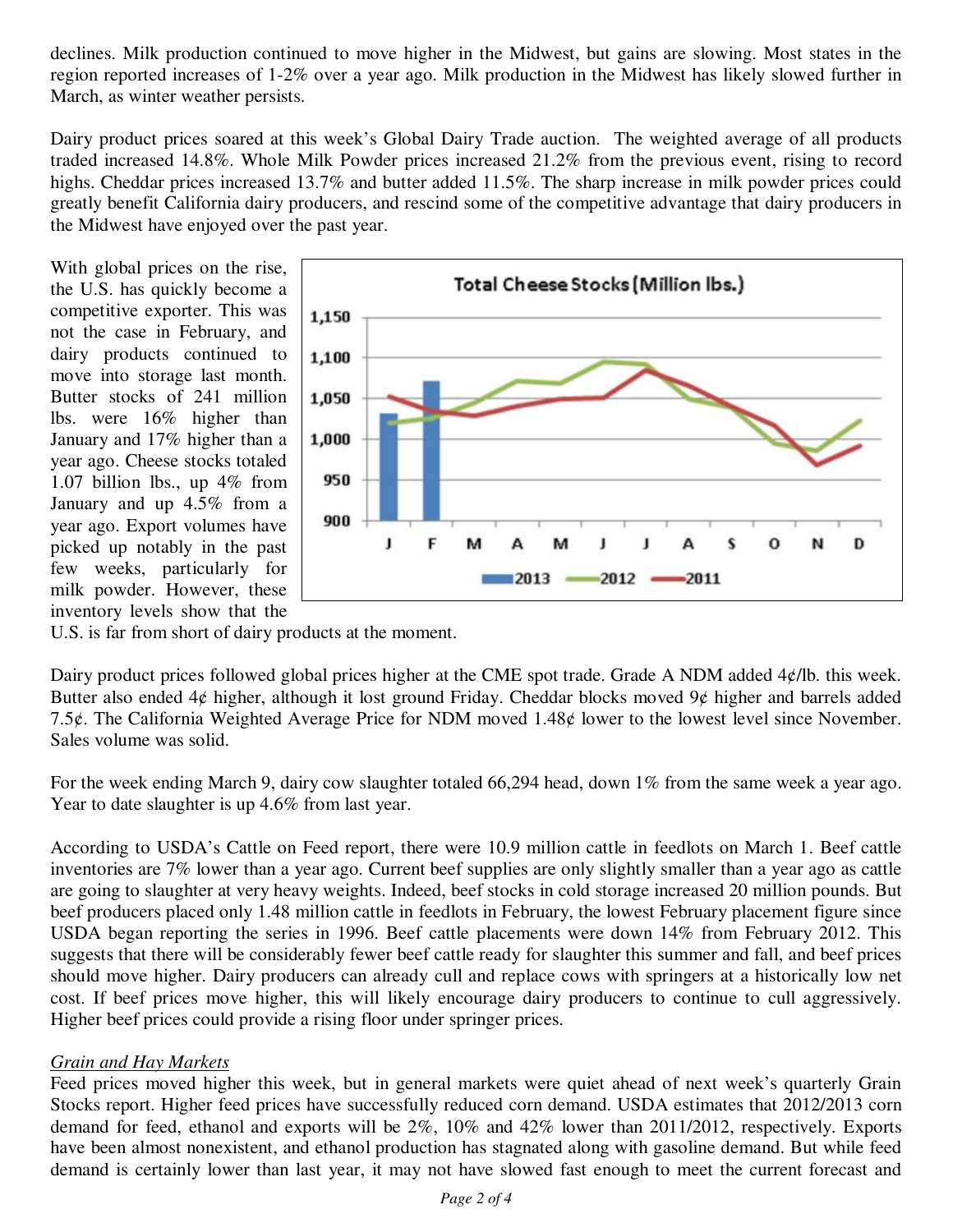declines. Milk production continued to move higher in the Midwest, but gains are slowing. Most states in the region reported increases of 1-2% over a year ago. Milk production in the Midwest has likely slowed further in March, as winter weather persists.

Dairy product prices soared at this week's Global Dairy Trade auction. The weighted average of all products traded increased 14.8%. Whole Milk Powder prices increased 21.2% from the previous event, rising to record highs. Cheddar prices increased 13.7% and butter added 11.5%. The sharp increase in milk powder prices could greatly benefit California dairy producers, and rescind some of the competitive advantage that dairy producers in the Midwest have enjoyed over the past year.

With global prices on the rise, the U.S. has quickly become a competitive exporter. This was not the case in February, and dairy products continued to move into storage last month. Butter stocks of 241 million lbs. were 16% higher than January and 17% higher than a year ago. Cheese stocks totaled 1.07 billion lbs., up 4% from January and up 4.5% from a year ago. Export volumes have picked up notably in the past few weeks, particularly for milk powder. However, these inventory levels show that the



U.S. is far from short of dairy products at the moment.

Dairy product prices followed global prices higher at the CME spot trade. Grade A NDM added 4¢/lb. this week. Butter also ended  $4¢$  higher, although it lost ground Friday. Cheddar blocks moved  $9¢$  higher and barrels added 7.5 $\phi$ . The California Weighted Average Price for NDM moved 1.48 $\phi$  lower to the lowest level since November. Sales volume was solid.

For the week ending March 9, dairy cow slaughter totaled 66,294 head, down 1% from the same week a year ago. Year to date slaughter is up 4.6% from last year.

According to USDA's Cattle on Feed report, there were 10.9 million cattle in feedlots on March 1. Beef cattle inventories are 7% lower than a year ago. Current beef supplies are only slightly smaller than a year ago as cattle are going to slaughter at very heavy weights. Indeed, beef stocks in cold storage increased 20 million pounds. But beef producers placed only 1.48 million cattle in feedlots in February, the lowest February placement figure since USDA began reporting the series in 1996. Beef cattle placements were down 14% from February 2012. This suggests that there will be considerably fewer beef cattle ready for slaughter this summer and fall, and beef prices should move higher. Dairy producers can already cull and replace cows with springers at a historically low net cost. If beef prices move higher, this will likely encourage dairy producers to continue to cull aggressively. Higher beef prices could provide a rising floor under springer prices.

#### *Grain and Hay Markets*

Feed prices moved higher this week, but in general markets were quiet ahead of next week's quarterly Grain Stocks report. Higher feed prices have successfully reduced corn demand. USDA estimates that 2012/2013 corn demand for feed, ethanol and exports will be 2%, 10% and 42% lower than 2011/2012, respectively. Exports have been almost nonexistent, and ethanol production has stagnated along with gasoline demand. But while feed demand is certainly lower than last year, it may not have slowed fast enough to meet the current forecast and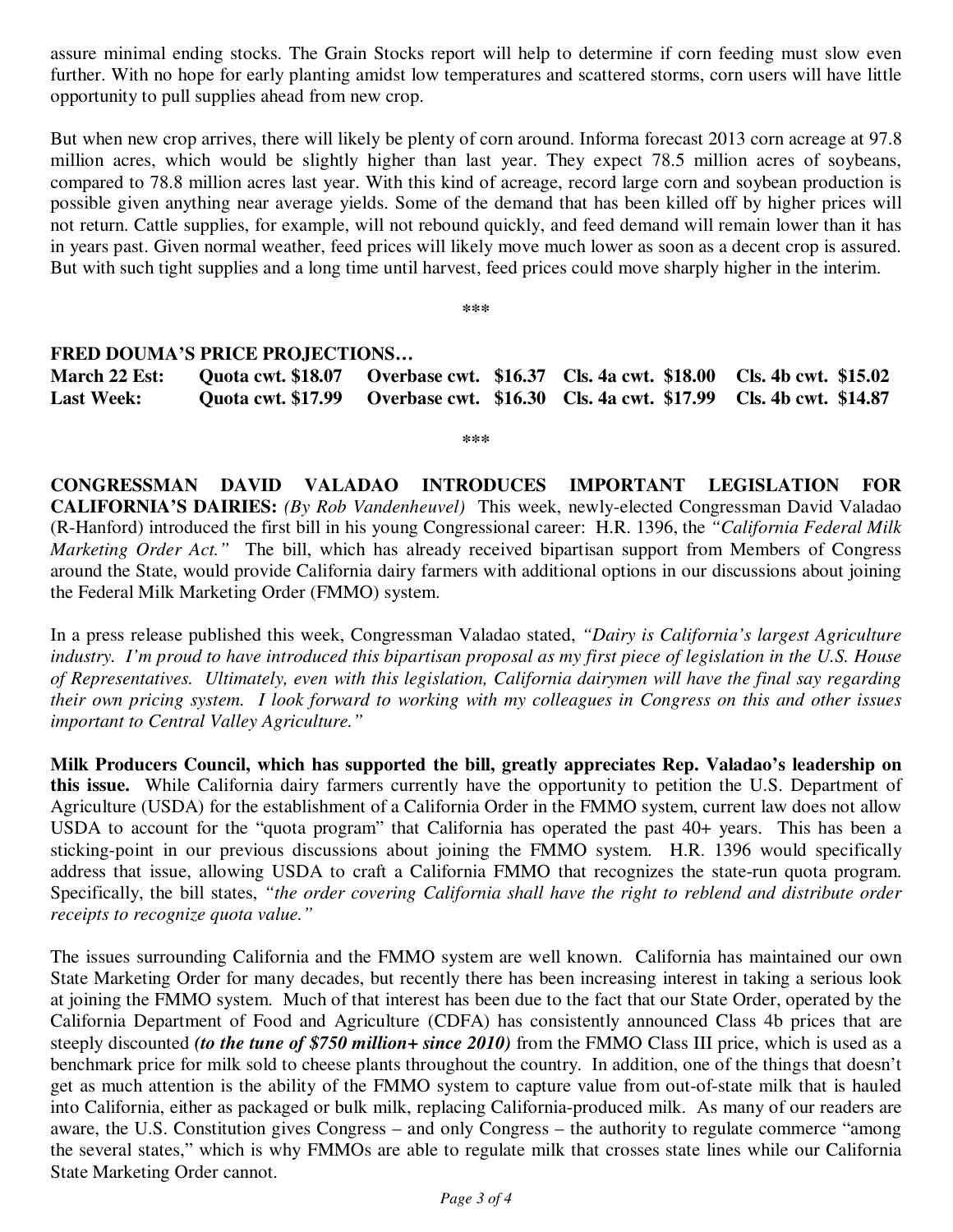assure minimal ending stocks. The Grain Stocks report will help to determine if corn feeding must slow even further. With no hope for early planting amidst low temperatures and scattered storms, corn users will have little opportunity to pull supplies ahead from new crop.

But when new crop arrives, there will likely be plenty of corn around. Informa forecast 2013 corn acreage at 97.8 million acres, which would be slightly higher than last year. They expect 78.5 million acres of soybeans, compared to 78.8 million acres last year. With this kind of acreage, record large corn and soybean production is possible given anything near average yields. Some of the demand that has been killed off by higher prices will not return. Cattle supplies, for example, will not rebound quickly, and feed demand will remain lower than it has in years past. Given normal weather, feed prices will likely move much lower as soon as a decent crop is assured. But with such tight supplies and a long time until harvest, feed prices could move sharply higher in the interim.

**\*\*\*** 

#### **FRED DOUMA'S PRICE PROJECTIONS…**

**March 22 Est: Quota cwt. \$18.07 Overbase cwt. \$16.37 Cls. 4a cwt. \$18.00 Cls. 4b cwt. \$15.02 Last Week: Quota cwt. \$17.99 Overbase cwt. \$16.30 Cls. 4a cwt. \$17.99 Cls. 4b cwt. \$14.87** 

**\*\*\*** 

**CONGRESSMAN DAVID VALADAO INTRODUCES IMPORTANT LEGISLATION FOR CALIFORNIA'S DAIRIES:** *(By Rob Vandenheuvel)* This week, newly-elected Congressman David Valadao (R-Hanford) introduced the first bill in his young Congressional career: H.R. 1396, the *"California Federal Milk Marketing Order Act."* The bill, which has already received bipartisan support from Members of Congress around the State, would provide California dairy farmers with additional options in our discussions about joining the Federal Milk Marketing Order (FMMO) system.

In a press release published this week, Congressman Valadao stated, *"Dairy is California's largest Agriculture industry. I'm proud to have introduced this bipartisan proposal as my first piece of legislation in the U.S. House of Representatives. Ultimately, even with this legislation, California dairymen will have the final say regarding their own pricing system. I look forward to working with my colleagues in Congress on this and other issues important to Central Valley Agriculture."*

**Milk Producers Council, which has supported the bill, greatly appreciates Rep. Valadao's leadership on this issue.** While California dairy farmers currently have the opportunity to petition the U.S. Department of Agriculture (USDA) for the establishment of a California Order in the FMMO system, current law does not allow USDA to account for the "quota program" that California has operated the past 40+ years. This has been a sticking-point in our previous discussions about joining the FMMO system. H.R. 1396 would specifically address that issue, allowing USDA to craft a California FMMO that recognizes the state-run quota program. Specifically, the bill states, *"the order covering California shall have the right to reblend and distribute order receipts to recognize quota value."*

The issues surrounding California and the FMMO system are well known. California has maintained our own State Marketing Order for many decades, but recently there has been increasing interest in taking a serious look at joining the FMMO system. Much of that interest has been due to the fact that our State Order, operated by the California Department of Food and Agriculture (CDFA) has consistently announced Class 4b prices that are steeply discounted *(to the tune of \$750 million+ since 2010)* from the FMMO Class III price, which is used as a benchmark price for milk sold to cheese plants throughout the country. In addition, one of the things that doesn't get as much attention is the ability of the FMMO system to capture value from out-of-state milk that is hauled into California, either as packaged or bulk milk, replacing California-produced milk. As many of our readers are aware, the U.S. Constitution gives Congress – and only Congress – the authority to regulate commerce "among the several states," which is why FMMOs are able to regulate milk that crosses state lines while our California State Marketing Order cannot.